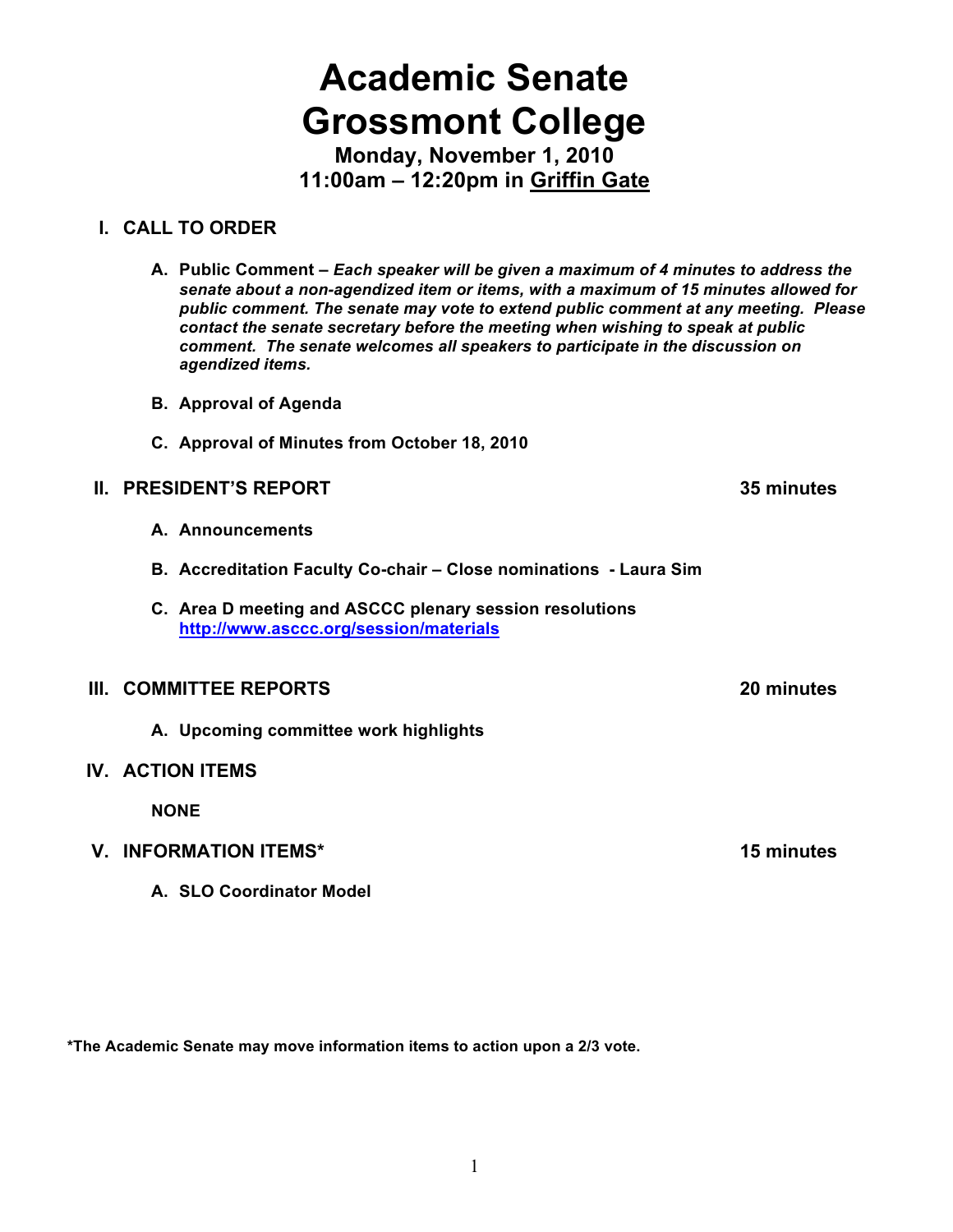# **Academic Senate Grossmont College**

**Monday, November 1, 2010 11:00am – 12:20pm in Griffin Gate**

### **I. CALL TO ORDER**

- **A. Public Comment –** *Each speaker will be given a maximum of 4 minutes to address the senate about a non-agendized item or items, with a maximum of 15 minutes allowed for public comment. The senate may vote to extend public comment at any meeting. Please contact the senate secretary before the meeting when wishing to speak at public comment. The senate welcomes all speakers to participate in the discussion on agendized items.*
- **B. Approval of Agenda**
- **C. Approval of Minutes from October 18, 2010**

### **II. PRESIDENT'S REPORT 35 minutes**

- **A. Announcements**
- **B. Accreditation Faculty Co-chair Close nominations Laura Sim**
- **C. Area D meeting and ASCCC plenary session resolutions http://www.asccc.org/session/materials**

#### **III. COMMITTEE REPORTS 20 minutes**

**A. Upcoming committee work highlights**

#### **IV. ACTION ITEMS**

**NONE**

#### **V. INFORMATION ITEMS\* 15 minutes**

**A. SLO Coordinator Model**

**\*The Academic Senate may move information items to action upon a 2/3 vote.**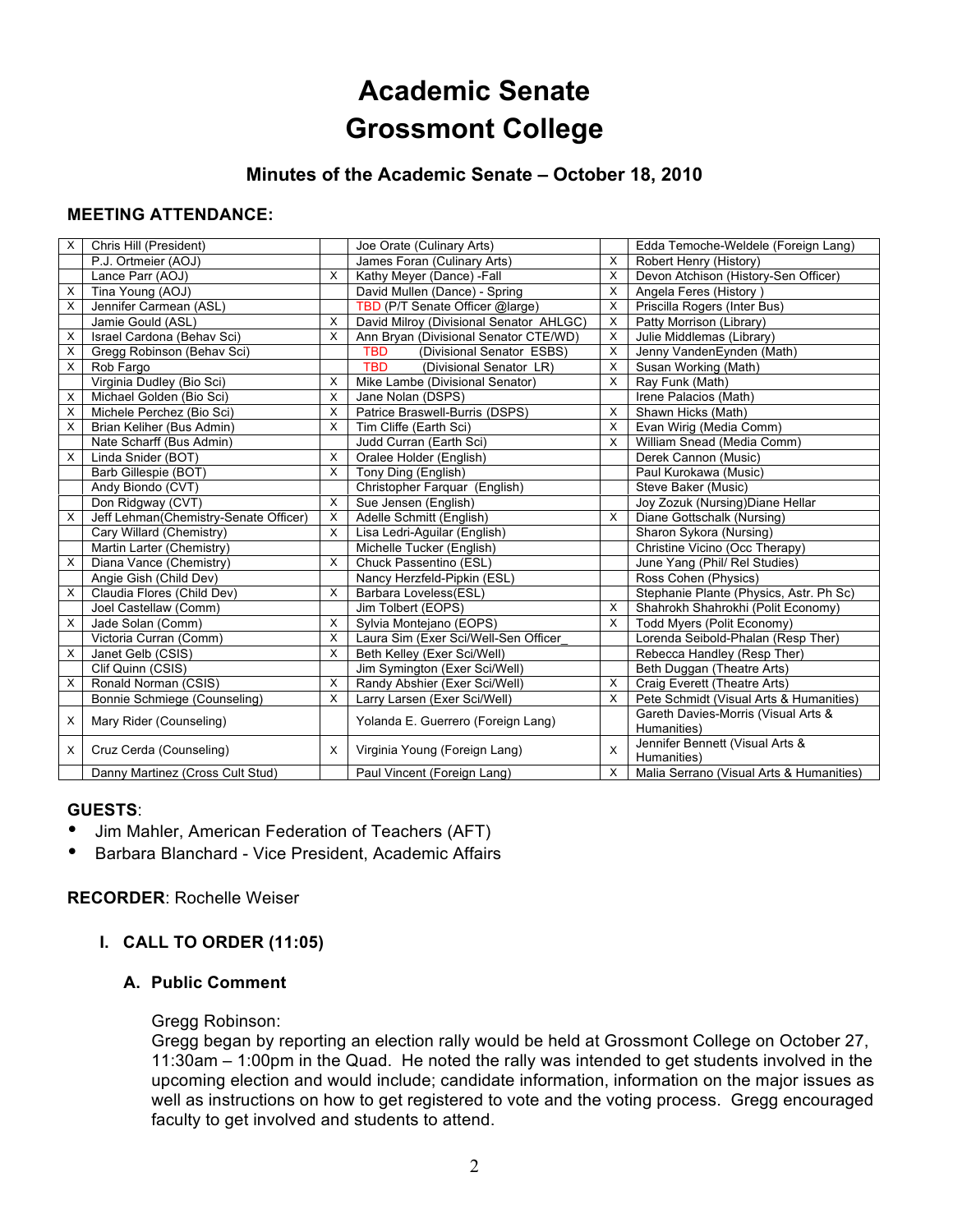## **Academic Senate Grossmont College**

#### **Minutes of the Academic Senate – October 18, 2010**

#### **MEETING ATTENDANCE:**

| X | Chris Hill (President)                |          | Joe Orate (Culinary Arts)               |   | Edda Temoche-Weldele (Foreign Lang)                |
|---|---------------------------------------|----------|-----------------------------------------|---|----------------------------------------------------|
|   | P.J. Ortmeier (AOJ)                   |          | James Foran (Culinary Arts)             | X | Robert Henry (History)                             |
|   | Lance Parr (AOJ)                      | X        | Kathy Meyer (Dance) -Fall               | X | Devon Atchison (History-Sen Officer)               |
| X | Tina Young (AOJ)                      |          | David Mullen (Dance) - Spring           | X | Angela Feres (History)                             |
| X | Jennifer Carmean (ASL)                |          | TBD (P/T Senate Officer @large)         | X | Priscilla Rogers (Inter Bus)                       |
|   | Jamie Gould (ASL)                     | X        | David Milroy (Divisional Senator AHLGC) | X | Patty Morrison (Library)                           |
| X | Israel Cardona (Behav Sci)            | $\times$ | Ann Bryan (Divisional Senator CTE/WD)   | X | Julie Middlemas (Library)                          |
| X | Gregg Robinson (Behav Sci)            |          | <b>TBD</b><br>(Divisional Senator ESBS) | X | Jenny VandenEynden (Math)                          |
| X | Rob Fargo                             |          | <b>TBD</b><br>(Divisional Senator LR)   | X | Susan Working (Math)                               |
|   | Virginia Dudley (Bio Sci)             | X        | Mike Lambe (Divisional Senator)         | X | Ray Funk (Math)                                    |
| Х | Michael Golden (Bio Sci)              | X        | Jane Nolan (DSPS)                       |   | Irene Palacios (Math)                              |
| X | Michele Perchez (Bio Sci)             | X        | Patrice Braswell-Burris (DSPS)          | X | Shawn Hicks (Math)                                 |
| X | Brian Keliher (Bus Admin)             | X        | Tim Cliffe (Earth Sci)                  | X | Evan Wirig (Media Comm)                            |
|   | Nate Scharff (Bus Admin)              |          | Judd Curran (Earth Sci)                 | X | William Snead (Media Comm)                         |
| X | Linda Snider (BOT)                    | $\times$ | Oralee Holder (English)                 |   | Derek Cannon (Music)                               |
|   | Barb Gillespie (BOT)                  | $\times$ | Tony Ding (English)                     |   | Paul Kurokawa (Music)                              |
|   | Andy Biondo (CVT)                     |          | Christopher Farquar (English)           |   | Steve Baker (Music)                                |
|   | Don Ridgway (CVT)                     | X        | Sue Jensen (English)                    |   | Joy Zozuk (Nursing) Diane Hellar                   |
| X | Jeff Lehman(Chemistry-Senate Officer) | $\times$ | Adelle Schmitt (English)                | X | Diane Gottschalk (Nursing)                         |
|   | Cary Willard (Chemistry)              | X        | Lisa Ledri-Aguilar (English)            |   | Sharon Sykora (Nursing)                            |
|   | Martin Larter (Chemistry)             |          | Michelle Tucker (English)               |   | Christine Vicino (Occ Therapy)                     |
| X | Diana Vance (Chemistry)               | X        | Chuck Passentino (ESL)                  |   | June Yang (Phil/ Rel Studies)                      |
|   | Angie Gish (Child Dev)                |          | Nancy Herzfeld-Pipkin (ESL)             |   | Ross Cohen (Physics)                               |
| X | Claudia Flores (Child Dev)            | X        | Barbara Loveless(ESL)                   |   | Stephanie Plante (Physics, Astr. Ph Sc)            |
|   | Joel Castellaw (Comm)                 |          | Jim Tolbert (EOPS)                      | X | Shahrokh Shahrokhi (Polit Economy)                 |
| X | Jade Solan (Comm)                     | X        | Sylvia Montejano (EOPS)                 | X | Todd Myers (Polit Economy)                         |
|   | Victoria Curran (Comm)                | X        | Laura Sim (Exer Sci/Well-Sen Officer    |   | Lorenda Seibold-Phalan (Resp Ther)                 |
| X | Janet Gelb (CSIS)                     | X        | Beth Kelley (Exer Sci/Well)             |   | Rebecca Handley (Resp Ther)                        |
|   | Clif Quinn (CSIS)                     |          | Jim Symington (Exer Sci/Well)           |   | Beth Duggan (Theatre Arts)                         |
| X | Ronald Norman (CSIS)                  | X        | Randy Abshier (Exer Sci/Well)           | X | Craig Everett (Theatre Arts)                       |
|   | Bonnie Schmiege (Counseling)          | $\times$ | Larry Larsen (Exer Sci/Well)            | X | Pete Schmidt (Visual Arts & Humanities)            |
| X | Mary Rider (Counseling)               |          | Yolanda E. Guerrero (Foreign Lang)      |   | Gareth Davies-Morris (Visual Arts &<br>Humanities) |
| X | Cruz Cerda (Counseling)               | X        | Virginia Young (Foreign Lang)           | X | Jennifer Bennett (Visual Arts &<br>Humanities)     |
|   | Danny Martinez (Cross Cult Stud)      |          | Paul Vincent (Foreign Lang)             | X | Malia Serrano (Visual Arts & Humanities)           |

#### **GUESTS**:

- Jim Mahler, American Federation of Teachers (AFT)
- Barbara Blanchard Vice President, Academic Affairs

#### **RECORDER**: Rochelle Weiser

#### **I. CALL TO ORDER (11:05)**

#### **A. Public Comment**

#### Gregg Robinson:

Gregg began by reporting an election rally would be held at Grossmont College on October 27, 11:30am – 1:00pm in the Quad. He noted the rally was intended to get students involved in the upcoming election and would include; candidate information, information on the major issues as well as instructions on how to get registered to vote and the voting process. Gregg encouraged faculty to get involved and students to attend.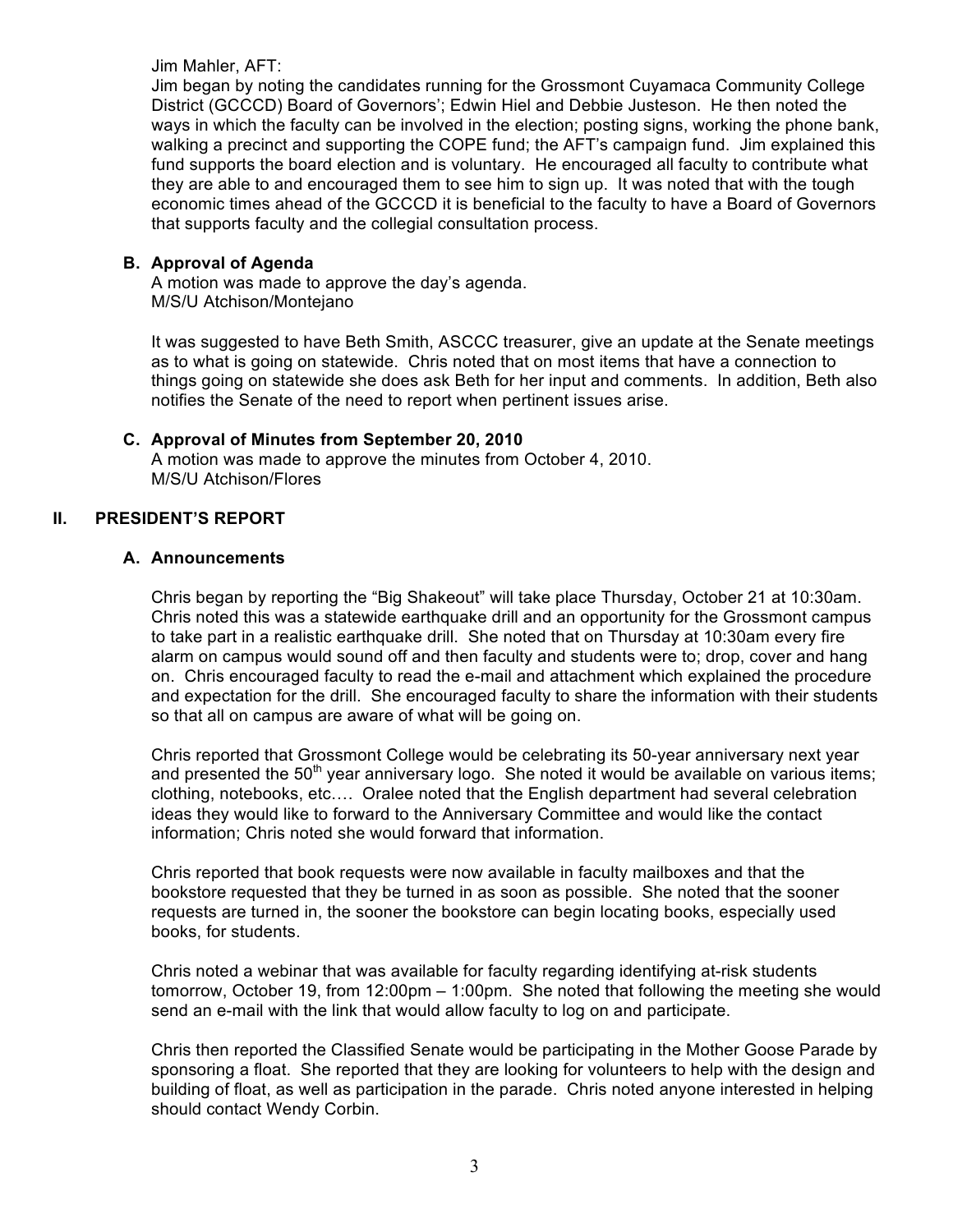Jim Mahler, AFT:

Jim began by noting the candidates running for the Grossmont Cuyamaca Community College District (GCCCD) Board of Governors'; Edwin Hiel and Debbie Justeson. He then noted the ways in which the faculty can be involved in the election; posting signs, working the phone bank, walking a precinct and supporting the COPE fund; the AFT's campaign fund. Jim explained this fund supports the board election and is voluntary. He encouraged all faculty to contribute what they are able to and encouraged them to see him to sign up. It was noted that with the tough economic times ahead of the GCCCD it is beneficial to the faculty to have a Board of Governors that supports faculty and the collegial consultation process.

#### **B. Approval of Agenda**

A motion was made to approve the day's agenda. M/S/U Atchison/Montejano

It was suggested to have Beth Smith, ASCCC treasurer, give an update at the Senate meetings as to what is going on statewide. Chris noted that on most items that have a connection to things going on statewide she does ask Beth for her input and comments. In addition, Beth also notifies the Senate of the need to report when pertinent issues arise.

#### **C. Approval of Minutes from September 20, 2010**

A motion was made to approve the minutes from October 4, 2010. M/S/U Atchison/Flores

#### **II. PRESIDENT'S REPORT**

#### **A. Announcements**

Chris began by reporting the "Big Shakeout" will take place Thursday, October 21 at 10:30am. Chris noted this was a statewide earthquake drill and an opportunity for the Grossmont campus to take part in a realistic earthquake drill. She noted that on Thursday at 10:30am every fire alarm on campus would sound off and then faculty and students were to; drop, cover and hang on. Chris encouraged faculty to read the e-mail and attachment which explained the procedure and expectation for the drill. She encouraged faculty to share the information with their students so that all on campus are aware of what will be going on.

Chris reported that Grossmont College would be celebrating its 50-year anniversary next year and presented the  $50<sup>th</sup>$  year anniversary logo. She noted it would be available on various items; clothing, notebooks, etc…. Oralee noted that the English department had several celebration ideas they would like to forward to the Anniversary Committee and would like the contact information; Chris noted she would forward that information.

Chris reported that book requests were now available in faculty mailboxes and that the bookstore requested that they be turned in as soon as possible. She noted that the sooner requests are turned in, the sooner the bookstore can begin locating books, especially used books, for students.

Chris noted a webinar that was available for faculty regarding identifying at-risk students tomorrow, October 19, from 12:00pm – 1:00pm. She noted that following the meeting she would send an e-mail with the link that would allow faculty to log on and participate.

Chris then reported the Classified Senate would be participating in the Mother Goose Parade by sponsoring a float. She reported that they are looking for volunteers to help with the design and building of float, as well as participation in the parade. Chris noted anyone interested in helping should contact Wendy Corbin.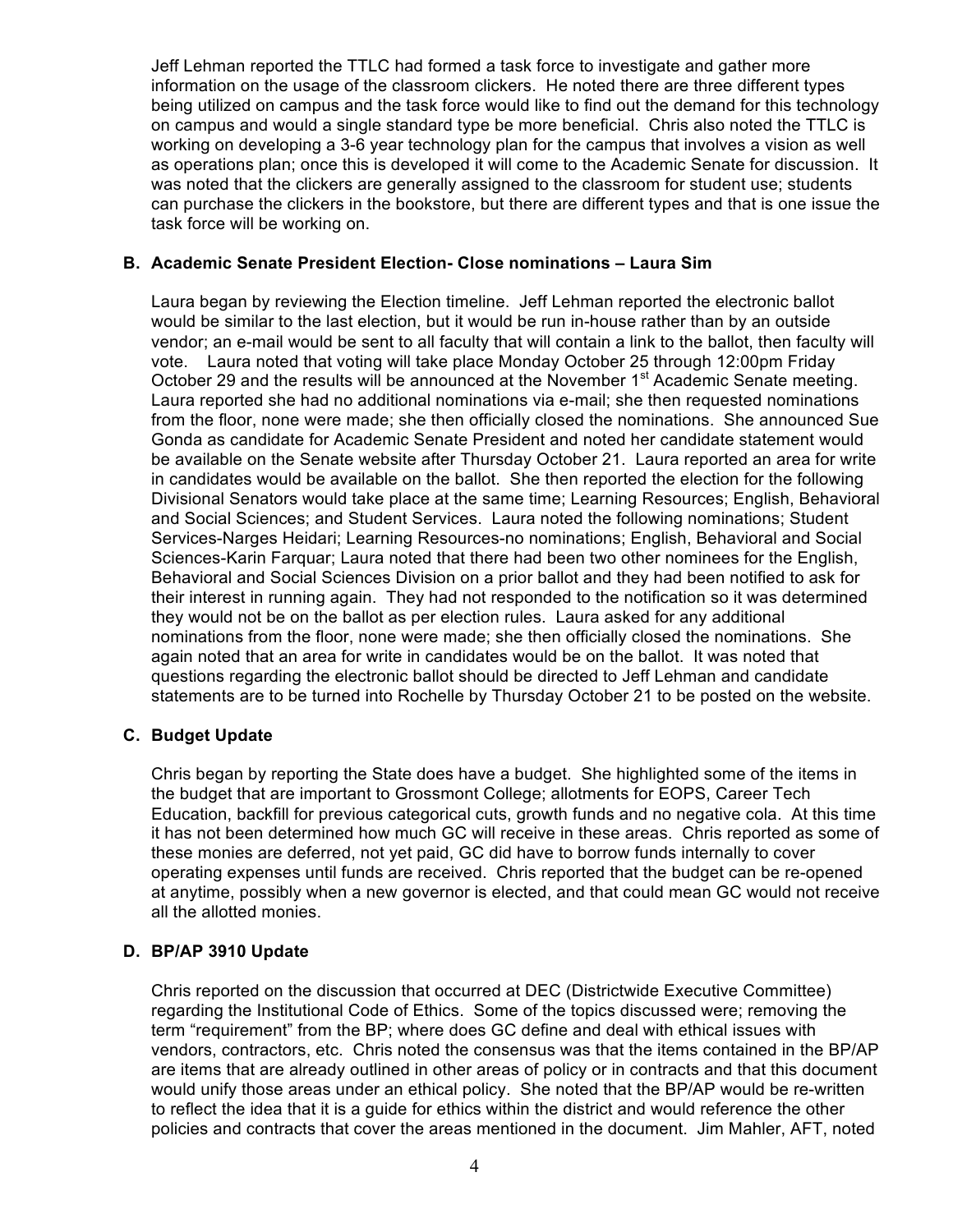Jeff Lehman reported the TTLC had formed a task force to investigate and gather more information on the usage of the classroom clickers. He noted there are three different types being utilized on campus and the task force would like to find out the demand for this technology on campus and would a single standard type be more beneficial. Chris also noted the TTLC is working on developing a 3-6 year technology plan for the campus that involves a vision as well as operations plan; once this is developed it will come to the Academic Senate for discussion. It was noted that the clickers are generally assigned to the classroom for student use; students can purchase the clickers in the bookstore, but there are different types and that is one issue the task force will be working on.

#### **B. Academic Senate President Election- Close nominations – Laura Sim**

Laura began by reviewing the Election timeline. Jeff Lehman reported the electronic ballot would be similar to the last election, but it would be run in-house rather than by an outside vendor; an e-mail would be sent to all faculty that will contain a link to the ballot, then faculty will vote. Laura noted that voting will take place Monday October 25 through 12:00pm Friday October 29 and the results will be announced at the November 1<sup>st</sup> Academic Senate meeting. Laura reported she had no additional nominations via e-mail; she then requested nominations from the floor, none were made; she then officially closed the nominations. She announced Sue Gonda as candidate for Academic Senate President and noted her candidate statement would be available on the Senate website after Thursday October 21. Laura reported an area for write in candidates would be available on the ballot. She then reported the election for the following Divisional Senators would take place at the same time; Learning Resources; English, Behavioral and Social Sciences; and Student Services. Laura noted the following nominations; Student Services-Narges Heidari; Learning Resources-no nominations; English, Behavioral and Social Sciences-Karin Farquar; Laura noted that there had been two other nominees for the English, Behavioral and Social Sciences Division on a prior ballot and they had been notified to ask for their interest in running again. They had not responded to the notification so it was determined they would not be on the ballot as per election rules. Laura asked for any additional nominations from the floor, none were made; she then officially closed the nominations. She again noted that an area for write in candidates would be on the ballot. It was noted that questions regarding the electronic ballot should be directed to Jeff Lehman and candidate statements are to be turned into Rochelle by Thursday October 21 to be posted on the website.

#### **C. Budget Update**

Chris began by reporting the State does have a budget. She highlighted some of the items in the budget that are important to Grossmont College; allotments for EOPS, Career Tech Education, backfill for previous categorical cuts, growth funds and no negative cola. At this time it has not been determined how much GC will receive in these areas. Chris reported as some of these monies are deferred, not yet paid, GC did have to borrow funds internally to cover operating expenses until funds are received. Chris reported that the budget can be re-opened at anytime, possibly when a new governor is elected, and that could mean GC would not receive all the allotted monies.

#### **D. BP/AP 3910 Update**

Chris reported on the discussion that occurred at DEC (Districtwide Executive Committee) regarding the Institutional Code of Ethics. Some of the topics discussed were; removing the term "requirement" from the BP; where does GC define and deal with ethical issues with vendors, contractors, etc. Chris noted the consensus was that the items contained in the BP/AP are items that are already outlined in other areas of policy or in contracts and that this document would unify those areas under an ethical policy. She noted that the BP/AP would be re-written to reflect the idea that it is a guide for ethics within the district and would reference the other policies and contracts that cover the areas mentioned in the document. Jim Mahler, AFT, noted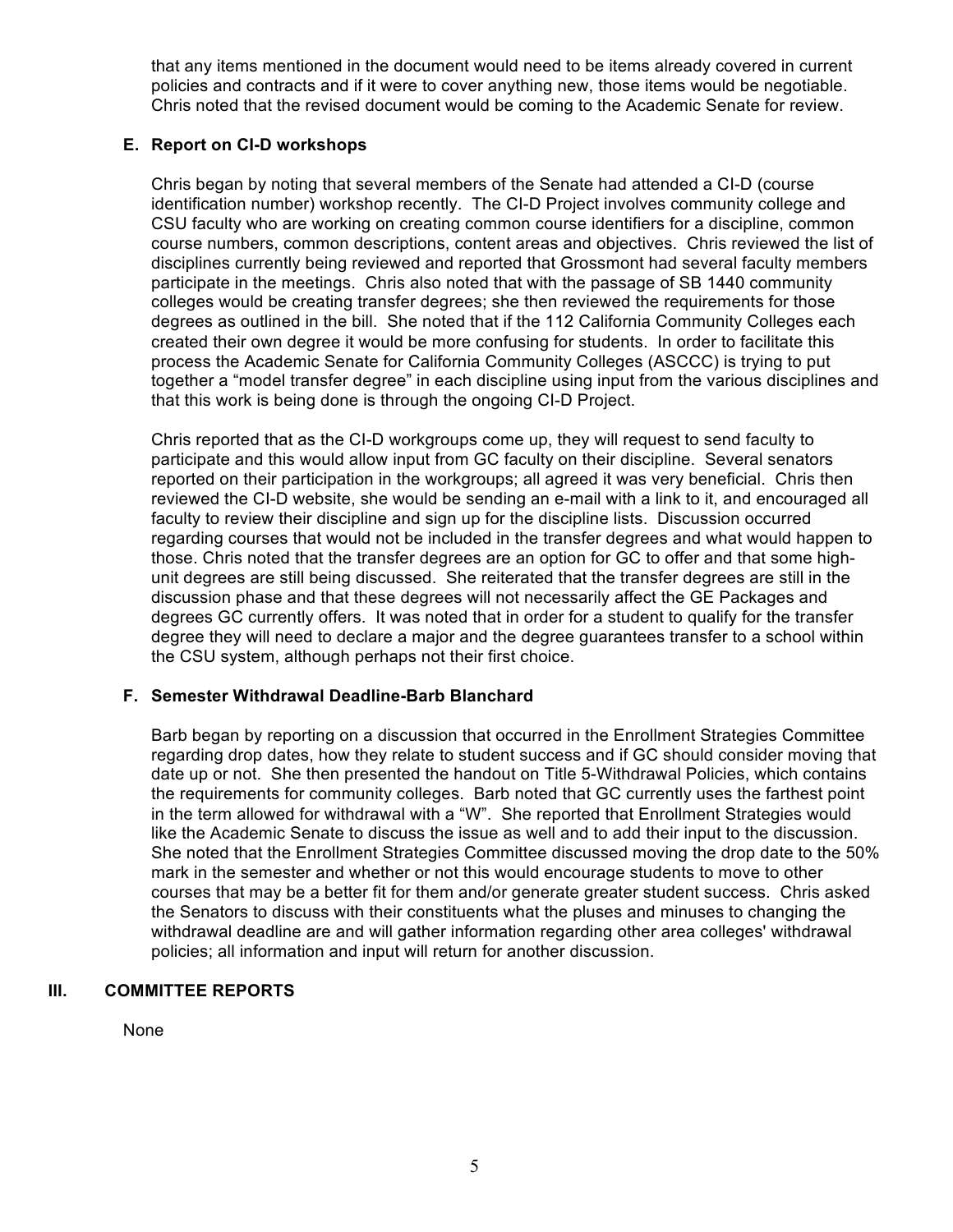that any items mentioned in the document would need to be items already covered in current policies and contracts and if it were to cover anything new, those items would be negotiable. Chris noted that the revised document would be coming to the Academic Senate for review.

#### **E. Report on CI-D workshops**

Chris began by noting that several members of the Senate had attended a CI-D (course identification number) workshop recently. The CI-D Project involves community college and CSU faculty who are working on creating common course identifiers for a discipline, common course numbers, common descriptions, content areas and objectives. Chris reviewed the list of disciplines currently being reviewed and reported that Grossmont had several faculty members participate in the meetings. Chris also noted that with the passage of SB 1440 community colleges would be creating transfer degrees; she then reviewed the requirements for those degrees as outlined in the bill. She noted that if the 112 California Community Colleges each created their own degree it would be more confusing for students. In order to facilitate this process the Academic Senate for California Community Colleges (ASCCC) is trying to put together a "model transfer degree" in each discipline using input from the various disciplines and that this work is being done is through the ongoing CI-D Project.

Chris reported that as the CI-D workgroups come up, they will request to send faculty to participate and this would allow input from GC faculty on their discipline. Several senators reported on their participation in the workgroups; all agreed it was very beneficial. Chris then reviewed the CI-D website, she would be sending an e-mail with a link to it, and encouraged all faculty to review their discipline and sign up for the discipline lists. Discussion occurred regarding courses that would not be included in the transfer degrees and what would happen to those. Chris noted that the transfer degrees are an option for GC to offer and that some highunit degrees are still being discussed. She reiterated that the transfer degrees are still in the discussion phase and that these degrees will not necessarily affect the GE Packages and degrees GC currently offers. It was noted that in order for a student to qualify for the transfer degree they will need to declare a major and the degree guarantees transfer to a school within the CSU system, although perhaps not their first choice.

#### **F. Semester Withdrawal Deadline-Barb Blanchard**

Barb began by reporting on a discussion that occurred in the Enrollment Strategies Committee regarding drop dates, how they relate to student success and if GC should consider moving that date up or not. She then presented the handout on Title 5-Withdrawal Policies, which contains the requirements for community colleges. Barb noted that GC currently uses the farthest point in the term allowed for withdrawal with a "W". She reported that Enrollment Strategies would like the Academic Senate to discuss the issue as well and to add their input to the discussion. She noted that the Enrollment Strategies Committee discussed moving the drop date to the 50% mark in the semester and whether or not this would encourage students to move to other courses that may be a better fit for them and/or generate greater student success. Chris asked the Senators to discuss with their constituents what the pluses and minuses to changing the withdrawal deadline are and will gather information regarding other area colleges' withdrawal policies; all information and input will return for another discussion.

#### **III. COMMITTEE REPORTS**

None